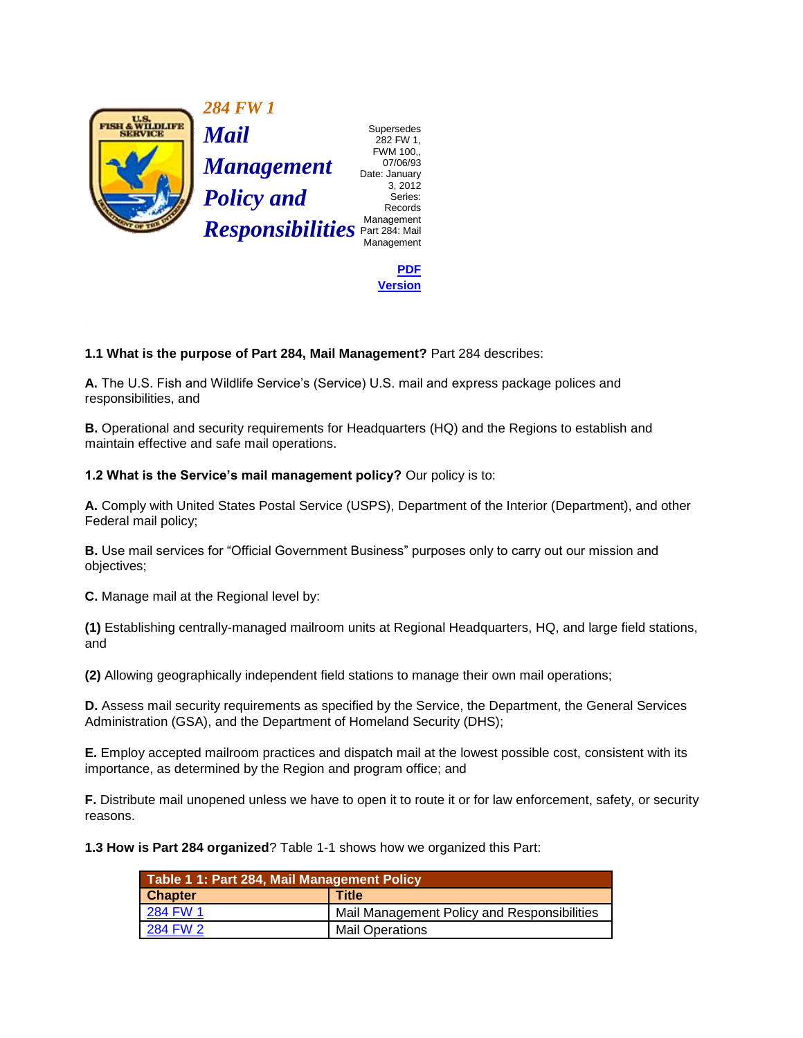

 282 FW 1, FWM 100,, Date: January 3, 2012 Records Management

> **[PDF](http://policy.fws.gov/284fw1.pdf)  [Version](http://policy.fws.gov/284fw1.pdf)**

 **1.1 What is the purpose of Part 284, Mail Management?** Part 284 describes:

**A.** The U.S. Fish and Wildlife Service's (Service) U.S. mail and express package polices and responsibilities, and

**B.** Operational and security requirements for Headquarters (HQ) and the Regions to establish and maintain effective and safe mail operations.

**1.2 What is the Service's mail management policy?** Our policy is to:

**A.** Comply with United States Postal Service (USPS), Department of the Interior (Department), and other Federal mail policy;

**B.** Use mail services for "Official Government Business" purposes only to carry out our mission and objectives;

**C.** Manage mail at the Regional level by:

**(1)** Establishing centrally-managed mailroom units at Regional Headquarters, HQ, and large field stations, and

**(2)** Allowing geographically independent field stations to manage their own mail operations;

 **D.** Assess mail security requirements as specified by the Service, the Department, the General Services Administration (GSA), and the Department of Homeland Security (DHS);

 **E.** Employ accepted mailroom practices and dispatch mail at the lowest possible cost, consistent with its importance, as determined by the Region and program office; and

**F.** Distribute mail unopened unless we have to open it to route it or for law enforcement, safety, or security reasons.

**1.3 How is Part 284 organized**? Table 1-1 shows how we organized this Part:

| Table 1 1: Part 284, Mail Management Policy |                                             |
|---------------------------------------------|---------------------------------------------|
| <b>Chapter</b>                              | <b>Title</b>                                |
| 284 FW 1                                    | Mail Management Policy and Responsibilities |
| 284 FW 2                                    | <b>Mail Operations</b>                      |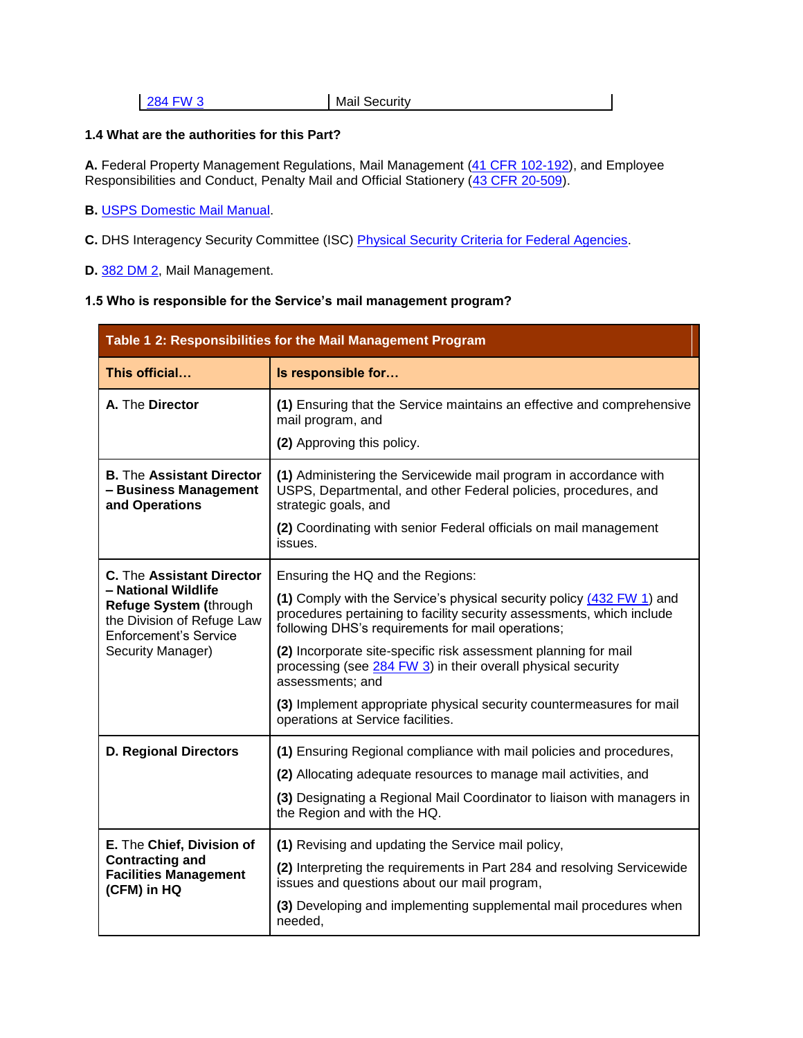**284 FW 3** Mail Security

## **1.4 What are the authorities for this Part?**

**A.** Federal Property Management Regulations, Mail Management [\(41 CFR 102-192\)](http://www.fws.gov/scripts/exit-to-fed.cfm?link=http://www.gpoaccess.gov/ecfr/&linkname=eCFR), and Employee Responsibilities and Conduct, Penalty Mail and Official Stationery [\(43 CFR 20-509\)](http://www.fws.gov/scripts/exit-to-fed.cfm?link=http://www.gpoaccess.gov/ecfr/&linkname=eCFR).

## **B.** [USPS Domestic Mail Manual.](http://www.fws.gov/scripts/exit-to-fed.cfm?link=http://pe.usps.com/text/dmm300/dmm300_landing.htm&linkname=USPS%20Domestic%20Mail%20Manual)

- **C.** DHS Interagency Security Committee (ISC) [Physical Security Criteria for Federal Agencies.](https://inside.fws.gov/index.cfm/go/post/R9-Emergency-Management-Home)
- **D.** [382 DM 2,](http://www.fws.gov/scripts/exit-to-fed.cfm?link=http://elips.doi.gov/app_dm/index.cfm?fuseaction=home&linkname=Departmental%20Manual) Mail Management.

## **1.5 Who is responsible for the Service's mail management program?**

| Table 1 2: Responsibilities for the Mail Management Program                                                                                                          |                                                                                                                                                                                                                                                                                                                                                                                                                                                                                                             |  |
|----------------------------------------------------------------------------------------------------------------------------------------------------------------------|-------------------------------------------------------------------------------------------------------------------------------------------------------------------------------------------------------------------------------------------------------------------------------------------------------------------------------------------------------------------------------------------------------------------------------------------------------------------------------------------------------------|--|
| This official                                                                                                                                                        | Is responsible for                                                                                                                                                                                                                                                                                                                                                                                                                                                                                          |  |
| A. The Director                                                                                                                                                      | (1) Ensuring that the Service maintains an effective and comprehensive<br>mail program, and<br>(2) Approving this policy.                                                                                                                                                                                                                                                                                                                                                                                   |  |
| <b>B.</b> The Assistant Director<br>- Business Management<br>and Operations                                                                                          | (1) Administering the Servicewide mail program in accordance with<br>USPS, Departmental, and other Federal policies, procedures, and<br>strategic goals, and<br>(2) Coordinating with senior Federal officials on mail management<br>issues.                                                                                                                                                                                                                                                                |  |
| <b>C.</b> The Assistant Director<br>- National Wildlife<br>Refuge System (through<br>the Division of Refuge Law<br><b>Enforcement's Service</b><br>Security Manager) | Ensuring the HQ and the Regions:<br>(1) Comply with the Service's physical security policy (432 FW 1) and<br>procedures pertaining to facility security assessments, which include<br>following DHS's requirements for mail operations;<br>(2) Incorporate site-specific risk assessment planning for mail<br>processing (see 284 FW 3) in their overall physical security<br>assessments; and<br>(3) Implement appropriate physical security countermeasures for mail<br>operations at Service facilities. |  |
| <b>D. Regional Directors</b>                                                                                                                                         | (1) Ensuring Regional compliance with mail policies and procedures,<br>(2) Allocating adequate resources to manage mail activities, and<br>(3) Designating a Regional Mail Coordinator to liaison with managers in<br>the Region and with the HQ.                                                                                                                                                                                                                                                           |  |
| E. The Chief, Division of<br><b>Contracting and</b><br><b>Facilities Management</b><br>(CFM) in HQ                                                                   | (1) Revising and updating the Service mail policy,<br>(2) Interpreting the requirements in Part 284 and resolving Servicewide<br>issues and questions about our mail program,<br>(3) Developing and implementing supplemental mail procedures when<br>needed,                                                                                                                                                                                                                                               |  |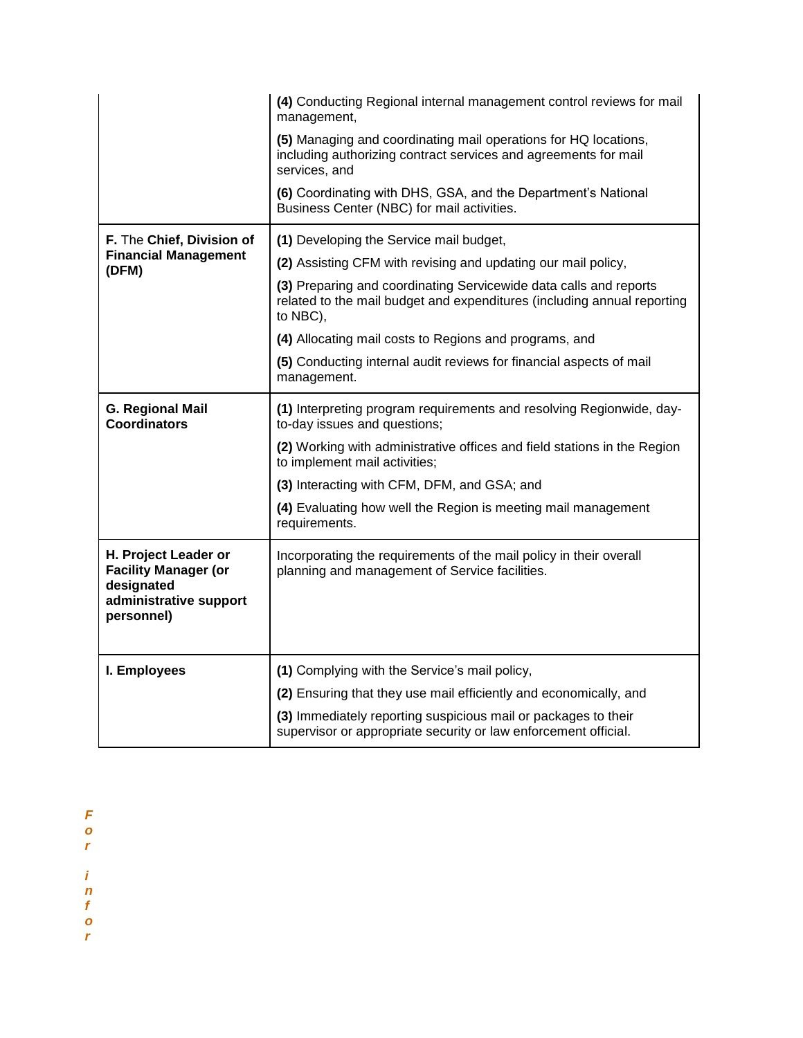|                                                                                                           | (4) Conducting Regional internal management control reviews for mail<br>management,                                                                      |
|-----------------------------------------------------------------------------------------------------------|----------------------------------------------------------------------------------------------------------------------------------------------------------|
|                                                                                                           | (5) Managing and coordinating mail operations for HQ locations,<br>including authorizing contract services and agreements for mail<br>services, and      |
|                                                                                                           | (6) Coordinating with DHS, GSA, and the Department's National<br>Business Center (NBC) for mail activities.                                              |
| F. The Chief, Division of<br><b>Financial Management</b><br>(DFM)                                         | (1) Developing the Service mail budget,                                                                                                                  |
|                                                                                                           | (2) Assisting CFM with revising and updating our mail policy,                                                                                            |
|                                                                                                           | (3) Preparing and coordinating Servicewide data calls and reports<br>related to the mail budget and expenditures (including annual reporting<br>to NBC), |
|                                                                                                           | (4) Allocating mail costs to Regions and programs, and                                                                                                   |
|                                                                                                           | (5) Conducting internal audit reviews for financial aspects of mail<br>management.                                                                       |
| <b>G. Regional Mail</b><br><b>Coordinators</b>                                                            | (1) Interpreting program requirements and resolving Regionwide, day-<br>to-day issues and questions;                                                     |
|                                                                                                           | (2) Working with administrative offices and field stations in the Region<br>to implement mail activities;                                                |
|                                                                                                           | (3) Interacting with CFM, DFM, and GSA; and                                                                                                              |
|                                                                                                           | (4) Evaluating how well the Region is meeting mail management<br>requirements.                                                                           |
| H. Project Leader or<br><b>Facility Manager (or</b><br>designated<br>administrative support<br>personnel) | Incorporating the requirements of the mail policy in their overall<br>planning and management of Service facilities.                                     |
| I. Employees                                                                                              | (1) Complying with the Service's mail policy,                                                                                                            |
|                                                                                                           | (2) Ensuring that they use mail efficiently and economically, and                                                                                        |
|                                                                                                           | (3) Immediately reporting suspicious mail or packages to their<br>supervisor or appropriate security or law enforcement official.                        |

*F* 

*o* 

*r* 

*i* 

*n* 

*f* 

*o* 

*r*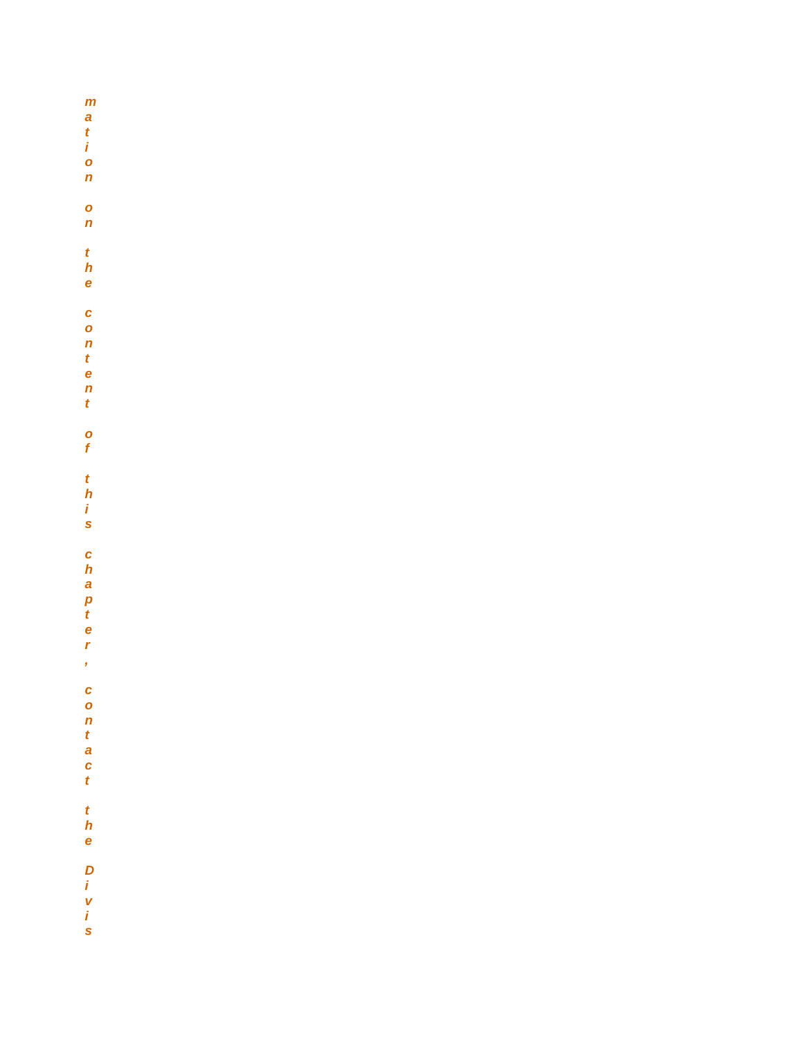$\mathbf{m}$  $\begin{array}{c} a \\ t \\ i \end{array}$  $\frac{1}{n}$  $\bullet$  $\mathbf{n}$  $\frac{t}{h}$  $\dot{\mathbf{e}}$  $c$  on  $n$  t e  $\frac{n}{t}$  $\frac{0}{f}$  $\frac{t}{h}$   $\frac{t}{s}$ chapter  $\bar{\mathbf{z}}$  $\mathbf{c}$  $\begin{array}{c} 0\\ n\\ t\\ a\\ c\\ t \end{array}$  $\frac{t}{h}$ e D *i* v *i* s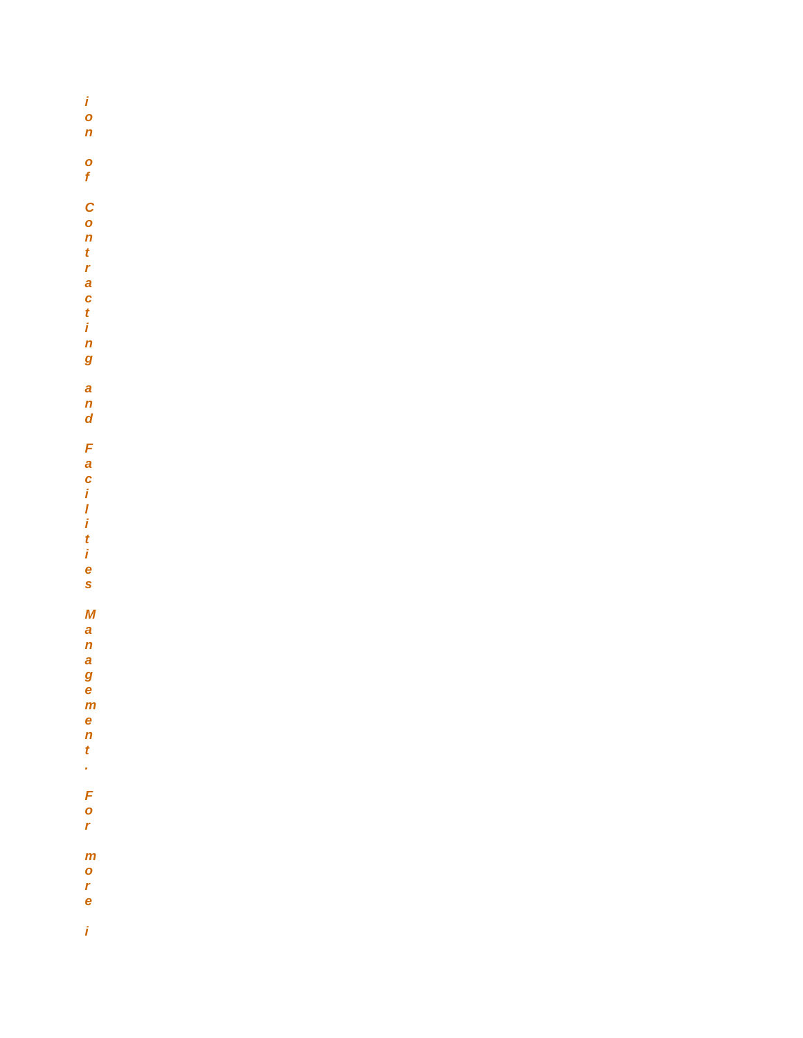*i o n o f C o n t r a c t i n g a n d F a c i l i t i e s M a n a g e m e n t . F o r m o r e i*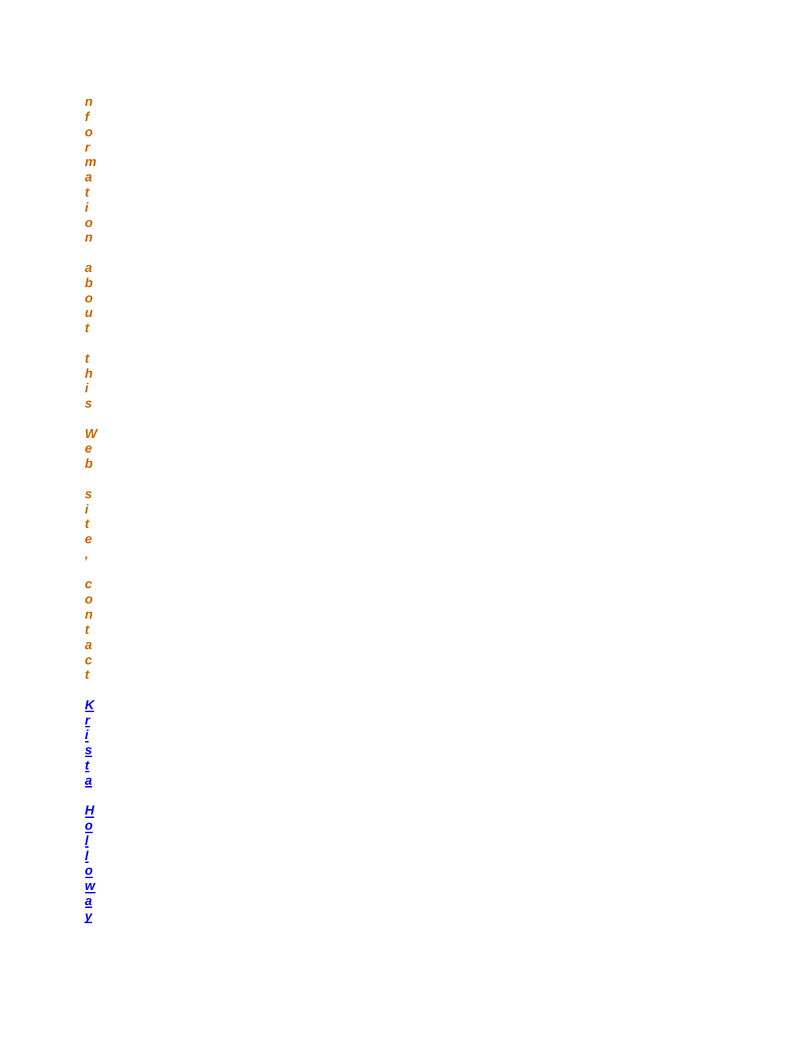n f o r m a t i o n a<br>b<br>o<br>u<br>t  $\frac{t}{h}$   $\frac{t}{s}$ W<br>e<br>b s<br>ite  $\mathbf{r}$ contact Krista Holloway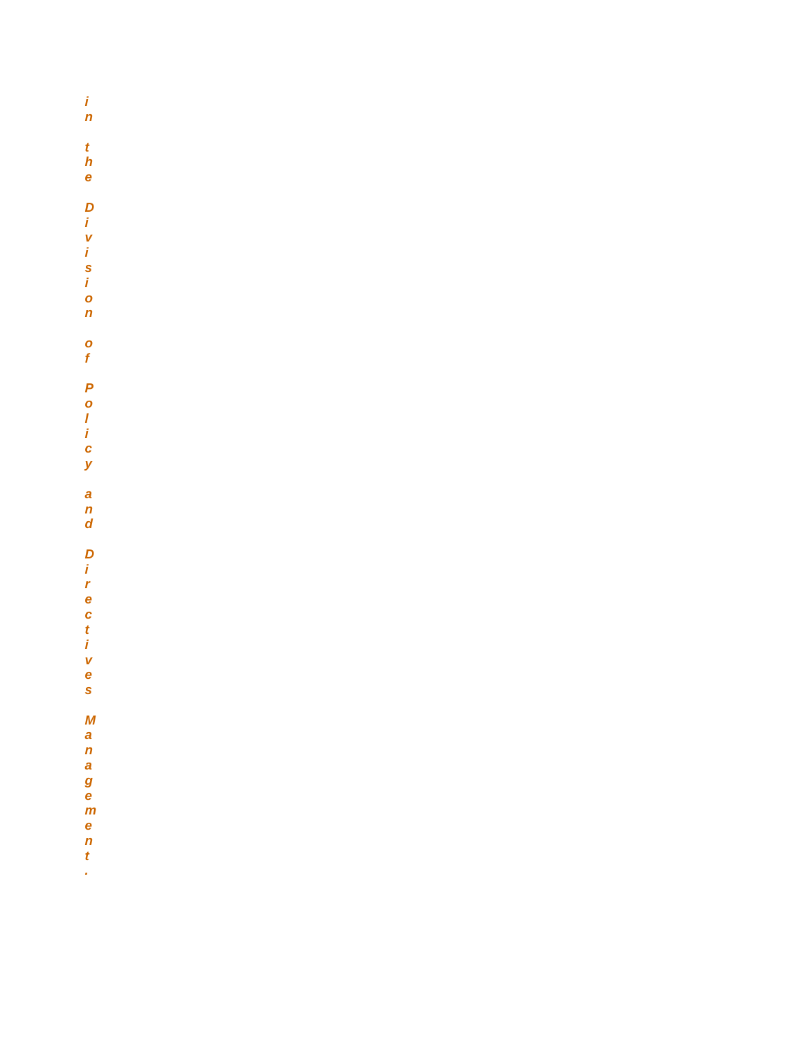$\frac{i}{n}$  $\frac{t}{h}$ e Division  $\frac{1}{\sqrt{2}}$ Policy  $\frac{a}{n}$ Directives  $\boldsymbol{M}$ anagement

ý,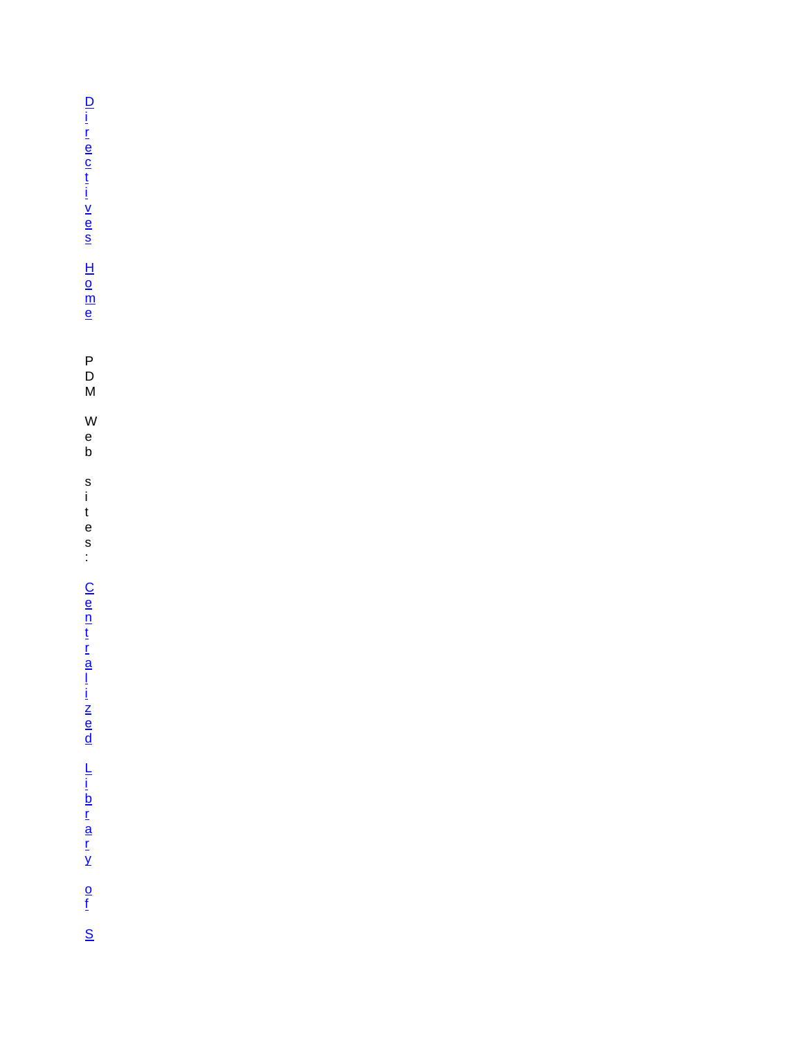[D](http://www.fws.gov/policy/manuals)  [i](http://www.fws.gov/policy/manuals)  [r](http://www.fws.gov/policy/manuals)  [e](http://www.fws.gov/policy/manuals)  [c](http://www.fws.gov/policy/manuals)  [t](http://www.fws.gov/policy/manuals)  [i](http://www.fws.gov/policy/manuals)  [v](http://www.fws.gov/policy/manuals)  [e](http://www.fws.gov/policy/manuals)  [s](http://www.fws.gov/policy/manuals)   $\overline{\mathsf{H}}$  . [o](http://www.fws.gov/policy/manuals)  [m](http://www.fws.gov/policy/manuals)  [e](http://www.fws.gov/policy/manuals)  P D M W e b s i t e s :  $\overline{\mathsf{C}}$ [e](http://www.fws.gov/policy/)  [n](http://www.fws.gov/policy/)  [t](http://www.fws.gov/policy/)  [r](http://www.fws.gov/policy/)  [a](http://www.fws.gov/policy/)  [l](http://www.fws.gov/policy/)  [i](http://www.fws.gov/policy/)  [z](http://www.fws.gov/policy/)  [e](http://www.fws.gov/policy/)  [d](http://www.fws.gov/policy/)  [L](http://www.fws.gov/policy/)  [i](http://www.fws.gov/policy/)  [b](http://www.fws.gov/policy/)  [r](http://www.fws.gov/policy/)  [a](http://www.fws.gov/policy/)  [r](http://www.fws.gov/policy/)  [y](http://www.fws.gov/policy/)  [o](http://www.fws.gov/policy/)  [f](http://www.fws.gov/policy/)  [S](http://www.fws.gov/policy/)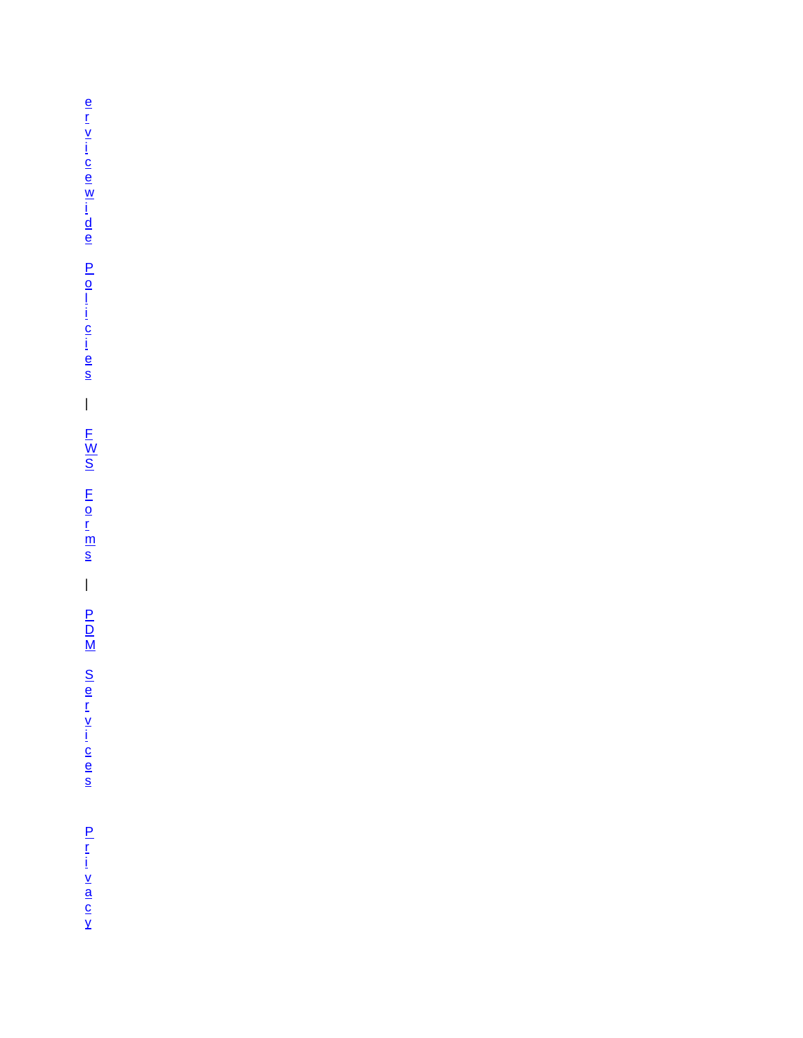[e](http://www.fws.gov/policy/)  [r](http://www.fws.gov/policy/)  [v](http://www.fws.gov/policy/)  [i](http://www.fws.gov/policy/)  [c](http://www.fws.gov/policy/)  [e](http://www.fws.gov/policy/)  [w](http://www.fws.gov/policy/)  [i](http://www.fws.gov/policy/)  [d](http://www.fws.gov/policy/)  [e](http://www.fws.gov/policy/)  [P](http://www.fws.gov/policy/)  [o](http://www.fws.gov/policy/)  [l](http://www.fws.gov/policy/)  [i](http://www.fws.gov/policy/)  [c](http://www.fws.gov/policy/)  [i](http://www.fws.gov/policy/)  [e](http://www.fws.gov/policy/)  [s](http://www.fws.gov/policy/)  | [F](http://www.fws.gov/forms/)  [W](http://www.fws.gov/forms/)  [S](http://www.fws.gov/forms/)  [F](http://www.fws.gov/forms/)  [o](http://www.fws.gov/forms/)  [r](http://www.fws.gov/forms/)  [m](http://www.fws.gov/forms/)  [s](http://www.fws.gov/forms/)   $\overline{\phantom{a}}$ [P](http://www.fws.gov/pdm/)   $\overline{\mathsf{D}}$ [M](http://www.fws.gov/pdm/)  [S](http://www.fws.gov/pdm/)  [e](http://www.fws.gov/pdm/)  [r](http://www.fws.gov/pdm/)  [v](http://www.fws.gov/pdm/)  [i](http://www.fws.gov/pdm/)  [c](http://www.fws.gov/pdm/)  [e](http://www.fws.gov/pdm/)  [s](http://www.fws.gov/pdm/)  [P](http://www.fws.gov/help/policies.html)  [r](http://www.fws.gov/help/policies.html)  [i](http://www.fws.gov/help/policies.html)  [v](http://www.fws.gov/help/policies.html)  [a](http://www.fws.gov/help/policies.html)  [c](http://www.fws.gov/help/policies.html)  [y](http://www.fws.gov/help/policies.html)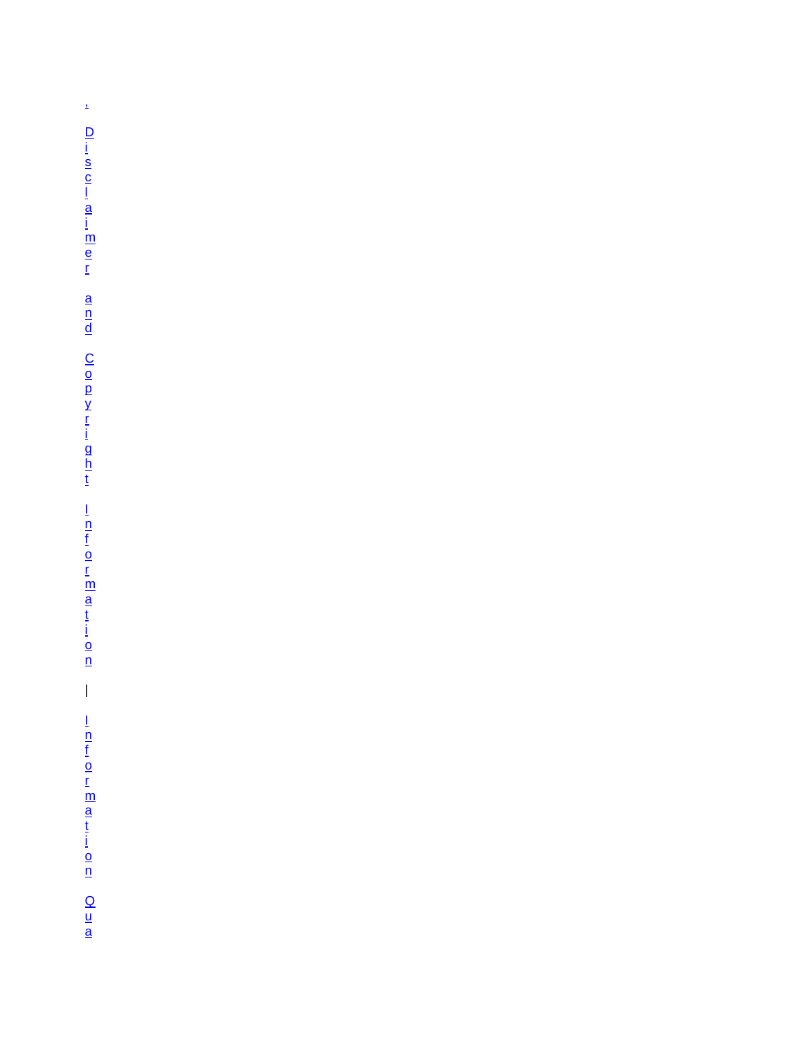$\hat{\mathbf{z}}$  $\bar{\bar{1}}$ <u>|<br>|n|n|n</u><br>|<u>n</u><br>|0|n|a|n|n|a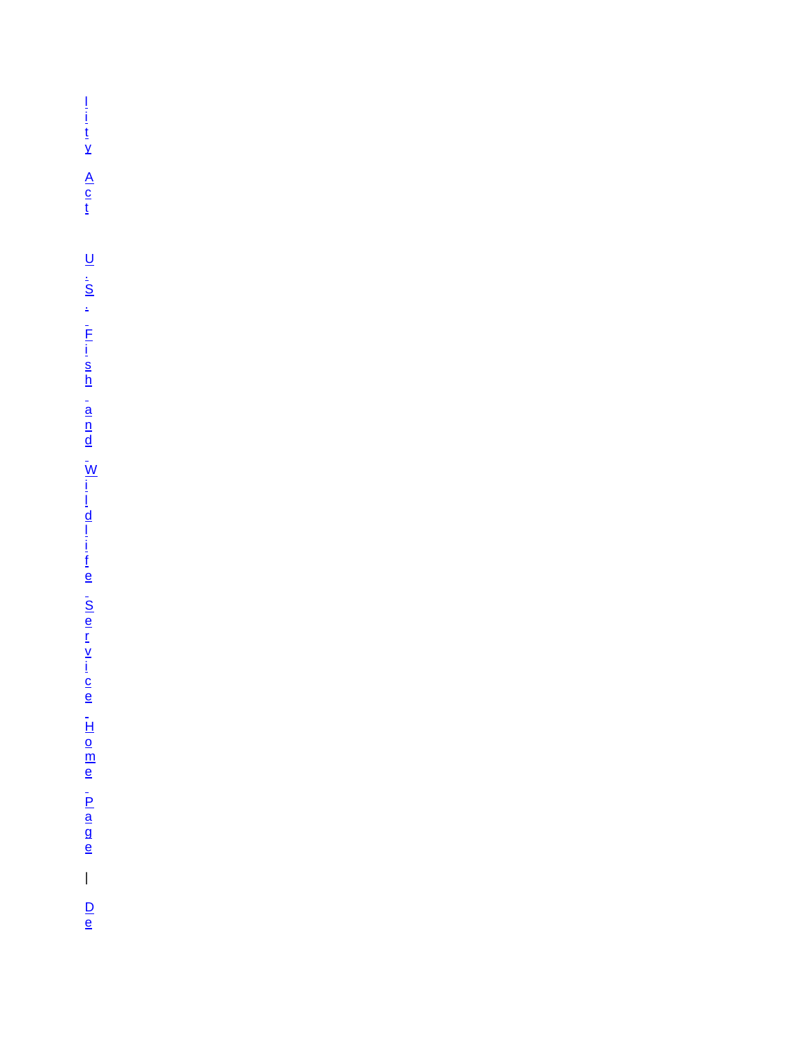$\frac{1}{\underline{i}} \frac{1}{\underline{t}} \underline{y}$   $\underline{A} \underline{c} \underline{t}$  $\bar{\Gamma}$  $\frac{D}{e}$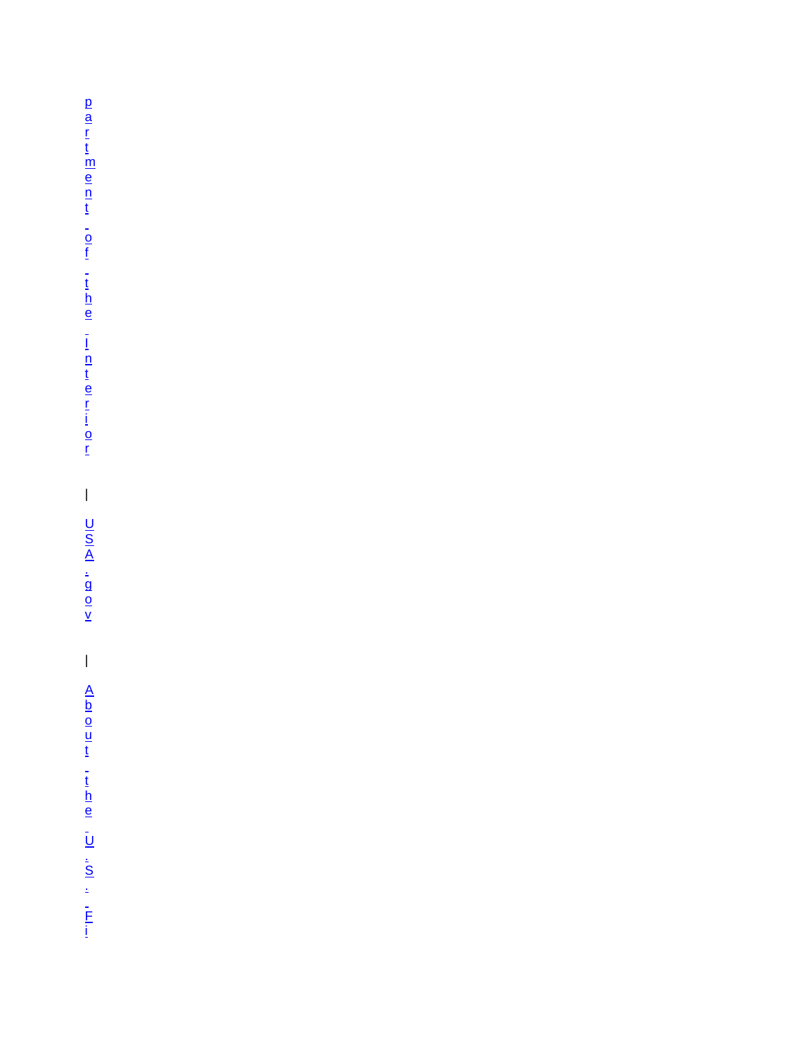[p](http://www.fws.gov/scripts/exit-to-fed.cfm?link=http://www.doi.gov/&linkname=the%20Department%20of%20the%20Interior%20Web%20site)  [a](http://www.fws.gov/scripts/exit-to-fed.cfm?link=http://www.doi.gov/&linkname=the%20Department%20of%20the%20Interior%20Web%20site)  [r](http://www.fws.gov/scripts/exit-to-fed.cfm?link=http://www.doi.gov/&linkname=the%20Department%20of%20the%20Interior%20Web%20site)  [t](http://www.fws.gov/scripts/exit-to-fed.cfm?link=http://www.doi.gov/&linkname=the%20Department%20of%20the%20Interior%20Web%20site)  [m](http://www.fws.gov/scripts/exit-to-fed.cfm?link=http://www.doi.gov/&linkname=the%20Department%20of%20the%20Interior%20Web%20site)  [e](http://www.fws.gov/scripts/exit-to-fed.cfm?link=http://www.doi.gov/&linkname=the%20Department%20of%20the%20Interior%20Web%20site)  [n](http://www.fws.gov/scripts/exit-to-fed.cfm?link=http://www.doi.gov/&linkname=the%20Department%20of%20the%20Interior%20Web%20site)  [t](http://www.fws.gov/scripts/exit-to-fed.cfm?link=http://www.doi.gov/&linkname=the%20Department%20of%20the%20Interior%20Web%20site)  [o](http://www.fws.gov/scripts/exit-to-fed.cfm?link=http://www.doi.gov/&linkname=the%20Department%20of%20the%20Interior%20Web%20site)  [f](http://www.fws.gov/scripts/exit-to-fed.cfm?link=http://www.doi.gov/&linkname=the%20Department%20of%20the%20Interior%20Web%20site)  [t](http://www.fws.gov/scripts/exit-to-fed.cfm?link=http://www.doi.gov/&linkname=the%20Department%20of%20the%20Interior%20Web%20site)  [h](http://www.fws.gov/scripts/exit-to-fed.cfm?link=http://www.doi.gov/&linkname=the%20Department%20of%20the%20Interior%20Web%20site)  [e](http://www.fws.gov/scripts/exit-to-fed.cfm?link=http://www.doi.gov/&linkname=the%20Department%20of%20the%20Interior%20Web%20site)  [I](http://www.fws.gov/scripts/exit-to-fed.cfm?link=http://www.doi.gov/&linkname=the%20Department%20of%20the%20Interior%20Web%20site)  [n](http://www.fws.gov/scripts/exit-to-fed.cfm?link=http://www.doi.gov/&linkname=the%20Department%20of%20the%20Interior%20Web%20site)  [t](http://www.fws.gov/scripts/exit-to-fed.cfm?link=http://www.doi.gov/&linkname=the%20Department%20of%20the%20Interior%20Web%20site)  [e](http://www.fws.gov/scripts/exit-to-fed.cfm?link=http://www.doi.gov/&linkname=the%20Department%20of%20the%20Interior%20Web%20site)  [r](http://www.fws.gov/scripts/exit-to-fed.cfm?link=http://www.doi.gov/&linkname=the%20Department%20of%20the%20Interior%20Web%20site)  [i](http://www.fws.gov/scripts/exit-to-fed.cfm?link=http://www.doi.gov/&linkname=the%20Department%20of%20the%20Interior%20Web%20site)  [o](http://www.fws.gov/scripts/exit-to-fed.cfm?link=http://www.doi.gov/&linkname=the%20Department%20of%20the%20Interior%20Web%20site)  [r](http://www.fws.gov/scripts/exit-to-fed.cfm?link=http://www.doi.gov/&linkname=the%20Department%20of%20the%20Interior%20Web%20site)  | [U](http://www.fws.gov/scripts/exit-to-fed.cfm?link=http://www.usa.gov/&linkname=USA.gov,%20the%20U.S.%20government)  [S](http://www.fws.gov/scripts/exit-to-fed.cfm?link=http://www.usa.gov/&linkname=USA.gov,%20the%20U.S.%20government)   $\overline{\mathsf{A}}$ [.](http://www.fws.gov/scripts/exit-to-fed.cfm?link=http://www.usa.gov/&linkname=USA.gov,%20the%20U.S.%20government)  [g](http://www.fws.gov/scripts/exit-to-fed.cfm?link=http://www.usa.gov/&linkname=USA.gov,%20the%20U.S.%20government)  [o](http://www.fws.gov/scripts/exit-to-fed.cfm?link=http://www.usa.gov/&linkname=USA.gov,%20the%20U.S.%20government)  [v](http://www.fws.gov/scripts/exit-to-fed.cfm?link=http://www.usa.gov/&linkname=USA.gov,%20the%20U.S.%20government)   $\begin{array}{c} \hline \end{array}$  $\overline{\mathsf{A}}$ [b](http://www.fws.gov/help/about_us.html)  [o](http://www.fws.gov/help/about_us.html)  [u](http://www.fws.gov/help/about_us.html)  [t](http://www.fws.gov/help/about_us.html)  [t](http://www.fws.gov/help/about_us.html)  [h](http://www.fws.gov/help/about_us.html)  [e](http://www.fws.gov/help/about_us.html)  [U](http://www.fws.gov/help/about_us.html)  [.](http://www.fws.gov/help/about_us.html)  [S](http://www.fws.gov/help/about_us.html)  [.](http://www.fws.gov/help/about_us.html)  [F](http://www.fws.gov/help/about_us.html)  [i](http://www.fws.gov/help/about_us.html)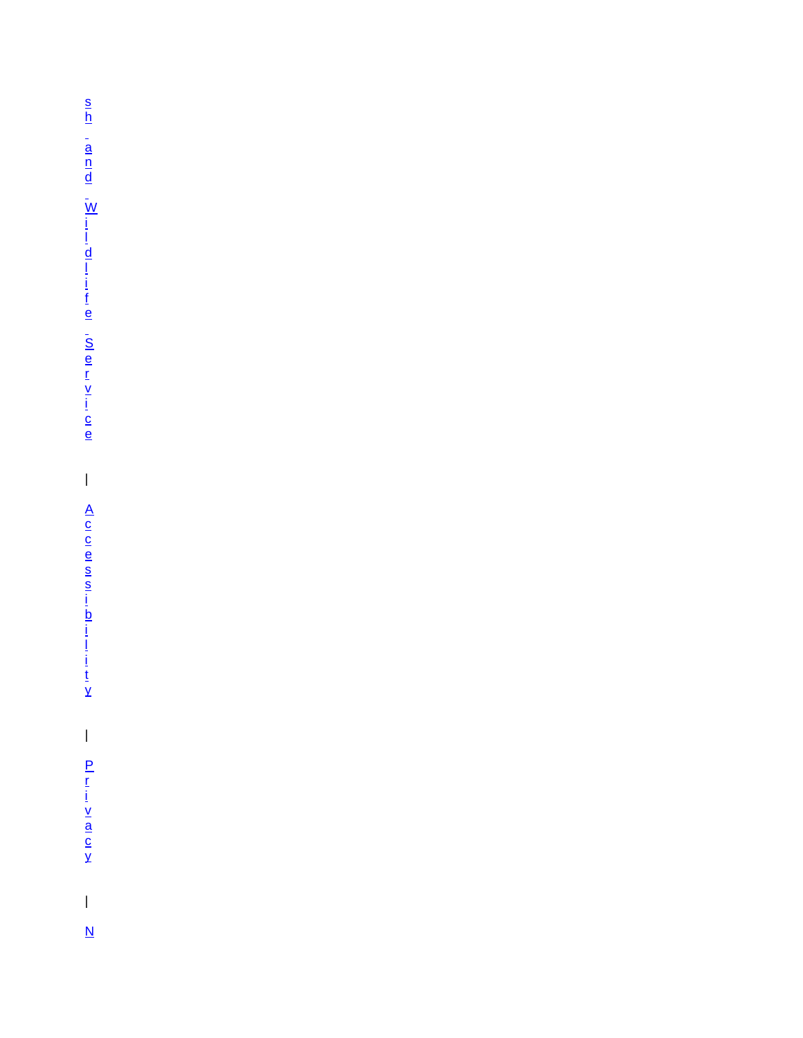[s](http://www.fws.gov/help/about_us.html)  [h](http://www.fws.gov/help/about_us.html)  [a](http://www.fws.gov/help/about_us.html)  [n](http://www.fws.gov/help/about_us.html)  [d](http://www.fws.gov/help/about_us.html)  [W](http://www.fws.gov/help/about_us.html)  [i](http://www.fws.gov/help/about_us.html)  [l](http://www.fws.gov/help/about_us.html)  [d](http://www.fws.gov/help/about_us.html)  [l](http://www.fws.gov/help/about_us.html)  [i](http://www.fws.gov/help/about_us.html)  [f](http://www.fws.gov/help/about_us.html)  [e](http://www.fws.gov/help/about_us.html)  [S](http://www.fws.gov/help/about_us.html)  [e](http://www.fws.gov/help/about_us.html)  [r](http://www.fws.gov/help/about_us.html)  [v](http://www.fws.gov/help/about_us.html)  [i](http://www.fws.gov/help/about_us.html)  [c](http://www.fws.gov/help/about_us.html)  [e](http://www.fws.gov/help/about_us.html)  | [A](http://www.fws.gov/help/accessibility.html)  [c](http://www.fws.gov/help/accessibility.html)  [c](http://www.fws.gov/help/accessibility.html)  [e](http://www.fws.gov/help/accessibility.html)  [s](http://www.fws.gov/help/accessibility.html)  [s](http://www.fws.gov/help/accessibility.html)  [i](http://www.fws.gov/help/accessibility.html)  [b](http://www.fws.gov/help/accessibility.html)  [i](http://www.fws.gov/help/accessibility.html)  [l](http://www.fws.gov/help/accessibility.html)  [i](http://www.fws.gov/help/accessibility.html)  [t](http://www.fws.gov/help/accessibility.html)  [y](http://www.fws.gov/help/accessibility.html)   $\begin{array}{c} \rule{0pt}{2ex} \rule{0pt}{2ex} \rule{0pt}{2ex} \rule{0pt}{2ex} \rule{0pt}{2ex} \rule{0pt}{2ex} \rule{0pt}{2ex} \rule{0pt}{2ex} \rule{0pt}{2ex} \rule{0pt}{2ex} \rule{0pt}{2ex} \rule{0pt}{2ex} \rule{0pt}{2ex} \rule{0pt}{2ex} \rule{0pt}{2ex} \rule{0pt}{2ex} \rule{0pt}{2ex} \rule{0pt}{2ex} \rule{0pt}{2ex} \rule{0pt}{2ex} \rule{0pt}{2ex} \rule{0pt}{2ex} \rule{0pt}{2ex} \rule{0pt}{$ [P](http://www.fws.gov/help/policies.html)  [r](http://www.fws.gov/help/policies.html)  [i](http://www.fws.gov/help/policies.html)  [v](http://www.fws.gov/help/policies.html)  [a](http://www.fws.gov/help/policies.html)  [c](http://www.fws.gov/help/policies.html)  [y](http://www.fws.gov/help/policies.html)  | [N](http://www.fws.gov/help/notices.html)